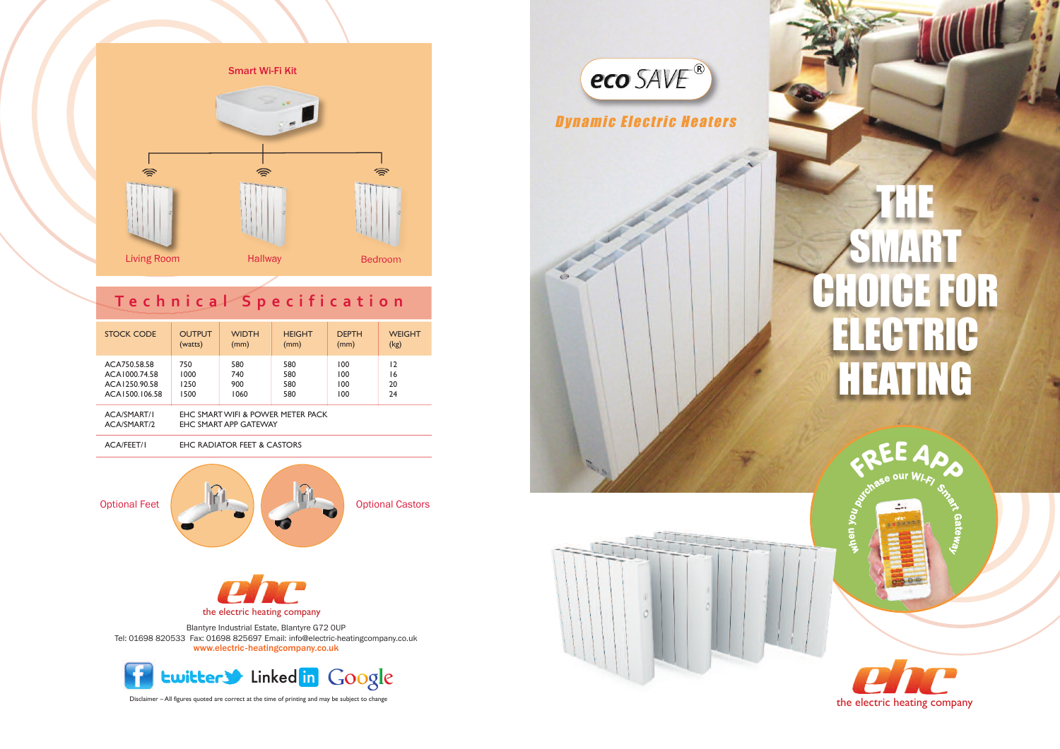

# THE SMART EFOR ELECTRIC HEATING

 $\epsilon$  $\mathbf \omega$  $\mathbf{C}$ you

 $\Omega$ a $\overline{\phantom{a}}$ eway





**<sup>F</sup>RE<sup>E</sup> <sup>A</sup>P<sup>P</sup>**

purase our Wi-Fi Small



Disclaimer – All figures quoted are correct at the time of printing and may be subject to change

Blantyre Industrial Estate, Blantyre G72 0UP Tel: 01698 820533 Fax: 01698 825697 Email: info@electric-heatingcompany.co.uk www.electric-heatingcompany.co.uk

the electric heating company



**PINT** 



## **T e c h n i c a l S p e c i f i c a t i o n**

| <b>STOCK CODE</b>         | <b>OUTPUT</b>                     | <b>WIDTH</b> | <b>HEIGHT</b> | <b>DEPTH</b> | <b>WEIGHT</b> |
|---------------------------|-----------------------------------|--------------|---------------|--------------|---------------|
|                           | (watts)                           | (mm)         | (mm)          | (mm)         | (kg)          |
| ACA750.58.58              | 750                               | 580          | 580           | 100          | 12            |
| ACA1000.74.58             | 1000                              | 740          | 580           | 100          | 16            |
| ACA1250.90.58             | 1250                              | 900          | 580           | 100          | 20            |
| ACA1500.106.58            | 1500                              | 1060         | 580           | 100          | 24            |
| ACA/SMART/I               | EHC SMART WIFI & POWER METER PACK |              |               |              |               |
| $A \cap A$ ich $A \cap B$ | $F11C$ $C141T$ $T10D$ $C1TT1411$  |              |               |              |               |

AcA/SMARt/2 ehc SMARt App gAtewAY

ACA/FEET/I EHC RADIATOR FEET & CASTORS